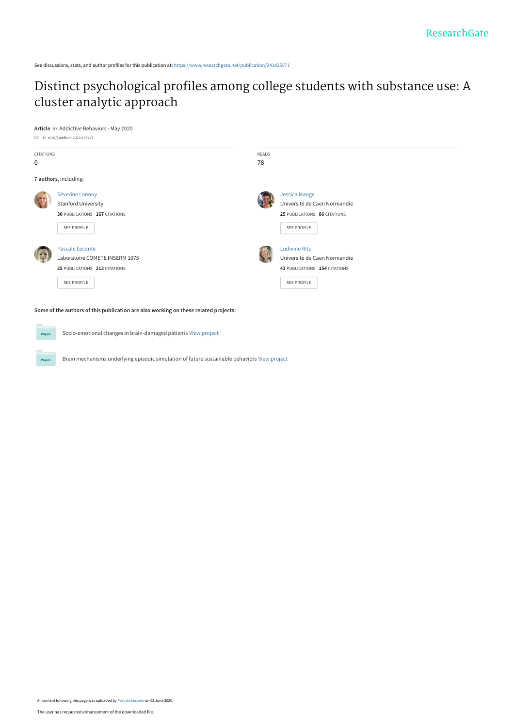See discussions, stats, and author profiles for this publication at: [https://www.researchgate.net/publication/341425571](https://www.researchgate.net/publication/341425571_Distinct_psychological_profiles_among_college_students_with_substance_use_A_cluster_analytic_approach?enrichId=rgreq-e62aee865b85239d067e8f1345f487e4-XXX&enrichSource=Y292ZXJQYWdlOzM0MTQyNTU3MTtBUzo4OTgwMjcyMTY3MDc1ODVAMTU5MTExNzc4MTY3NA%3D%3D&el=1_x_2&_esc=publicationCoverPdf)

# [Distinct psychological profiles among college students with substance use: A](https://www.researchgate.net/publication/341425571_Distinct_psychological_profiles_among_college_students_with_substance_use_A_cluster_analytic_approach?enrichId=rgreq-e62aee865b85239d067e8f1345f487e4-XXX&enrichSource=Y292ZXJQYWdlOzM0MTQyNTU3MTtBUzo4OTgwMjcyMTY3MDc1ODVAMTU5MTExNzc4MTY3NA%3D%3D&el=1_x_3&_esc=publicationCoverPdf) cluster analytic approach



Project



Socio-emotional changes in brain-damaged patients [View project](https://www.researchgate.net/project/Socio-emotional-changes-in-brain-damaged-patients?enrichId=rgreq-e62aee865b85239d067e8f1345f487e4-XXX&enrichSource=Y292ZXJQYWdlOzM0MTQyNTU3MTtBUzo4OTgwMjcyMTY3MDc1ODVAMTU5MTExNzc4MTY3NA%3D%3D&el=1_x_9&_esc=publicationCoverPdf)  $Pro$ 

Brain mechanisms underlying episodic simulation of future sustainable behaviors [View project](https://www.researchgate.net/project/Brain-mechanisms-underlying-episodic-simulation-of-future-sustainable-behaviors?enrichId=rgreq-e62aee865b85239d067e8f1345f487e4-XXX&enrichSource=Y292ZXJQYWdlOzM0MTQyNTU3MTtBUzo4OTgwMjcyMTY3MDc1ODVAMTU5MTExNzc4MTY3NA%3D%3D&el=1_x_9&_esc=publicationCoverPdf)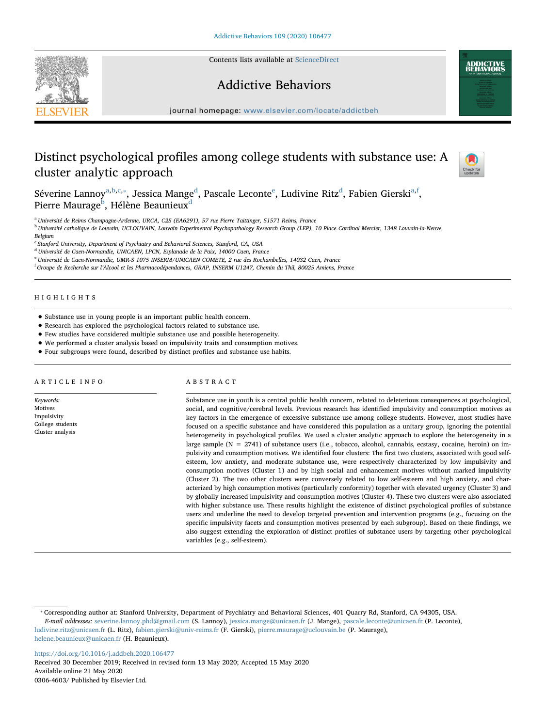Contents lists available at [ScienceDirect](http://www.sciencedirect.com/science/journal/03064603)







journal homepage: [www.elsevier.com/locate/addictbeh](https://www.elsevier.com/locate/addictbeh)

## Distinct psychological profiles among college students with substance use: A cluster analytic approach



Séverine L[a](#page-1-0)nnoy $^{\rm a,b,c,*}$  $^{\rm a,b,c,*}$  $^{\rm a,b,c,*}$  $^{\rm a,b,c,*}$ , J[e](#page-1-5)ssica Mange $^{\rm d}$  $^{\rm d}$  $^{\rm d}$ , Pascale Leconte $^{\rm e}$ , Ludivine Ritz $^{\rm d}$ , Fabien Gierski $^{\rm a,f}$  $^{\rm a,f}$  $^{\rm a,f}$ , Pierre Maurage<sup>[b](#page-1-1)</sup>, Hélène Beaunieux<sup>[d](#page-1-4)</sup>

<span id="page-1-0"></span><sup>a</sup> Université de Reims Champagne-Ardenne, URCA, C2S (EA6291), 57 rue Pierre Taittinger, 51571 Reims, France

<span id="page-1-1"></span><sup>b</sup> Université catholique de Louvain, UCLOUVAIN, Louvain Experimental Psychopathology Research Group (LEP), 10 Place Cardinal Mercier, 1348 Louvain-la-Neuve, Belgium

<span id="page-1-2"></span><sup>c</sup> Stanford University, Department of Psychiatry and Behavioral Sciences, Stanford, CA, USA

<span id="page-1-4"></span><sup>d</sup> Université de Caen-Normandie, UNICAEN, LPCN, Esplanade de la Paix, 14000 Caen, France

<span id="page-1-5"></span><sup>e</sup> Université de Caen-Normandie, UMR-S 1075 INSERM/UNICAEN COMETE, 2 rue des Rochambelles, 14032 Caen, France

<span id="page-1-6"></span>f Groupe de Recherche sur l'Alcool et les Pharmacodépendances, GRAP, INSERM U1247, Chemin du Thil, 80025 Amiens, France

#### HIGHLIGHTS

- Substance use in young people is an important public health concern.
- Research has explored the psychological factors related to substance use.
- Few studies have considered multiple substance use and possible heterogeneity.
- We performed a cluster analysis based on impulsivity traits and consumption motives.
- Four subgroups were found, described by distinct profiles and substance use habits.

#### ARTICLE INFO

Keywords: Motives Impulsivity College students Cluster analysis

## ABSTRACT

Substance use in youth is a central public health concern, related to deleterious consequences at psychological, social, and cognitive/cerebral levels. Previous research has identified impulsivity and consumption motives as key factors in the emergence of excessive substance use among college students. However, most studies have focused on a specific substance and have considered this population as a unitary group, ignoring the potential heterogeneity in psychological profiles. We used a cluster analytic approach to explore the heterogeneity in a large sample (N = 2741) of substance users (i.e., tobacco, alcohol, cannabis, ecstasy, cocaine, heroin) on impulsivity and consumption motives. We identified four clusters: The first two clusters, associated with good selfesteem, low anxiety, and moderate substance use, were respectively characterized by low impulsivity and consumption motives (Cluster 1) and by high social and enhancement motives without marked impulsivity (Cluster 2). The two other clusters were conversely related to low self-esteem and high anxiety, and characterized by high consumption motives (particularly conformity) together with elevated urgency (Cluster 3) and by globally increased impulsivity and consumption motives (Cluster 4). These two clusters were also associated with higher substance use. These results highlight the existence of distinct psychological profiles of substance users and underline the need to develop targeted prevention and intervention programs (e.g., focusing on the specific impulsivity facets and consumption motives presented by each subgroup). Based on these findings, we also suggest extending the exploration of distinct profiles of substance users by targeting other psychological variables (e.g., self-esteem).

<https://doi.org/10.1016/j.addbeh.2020.106477> Received 30 December 2019; Received in revised form 13 May 2020; Accepted 15 May 2020 Available online 21 May 2020 0306-4603/ Published by Elsevier Ltd.

<span id="page-1-3"></span><sup>⁎</sup> Corresponding author at: Stanford University, Department of Psychiatry and Behavioral Sciences, 401 Quarry Rd, Stanford, CA 94305, USA. E-mail addresses: [severine.lannoy.phd@gmail.com](mailto:severine.lannoy.phd@gmail.com) (S. Lannoy), [jessica.mange@unicaen.fr](mailto:jessica.mange@unicaen.fr) (J. Mange), [pascale.leconte@unicaen.fr](mailto:pascale.leconte@unicaen.fr) (P. Leconte), [ludivine.ritz@unicaen.fr](mailto:ludivine.ritz@unicaen.fr) (L. Ritz), [fabien.gierski@univ-reims.fr](mailto:fabien.gierski@univ-reims.fr) (F. Gierski), [pierre.maurage@uclouvain.be](mailto:pierre.maurage@uclouvain.be) (P. Maurage), [helene.beaunieux@unicaen.fr](mailto:helene.beaunieux@unicaen.fr) (H. Beaunieux).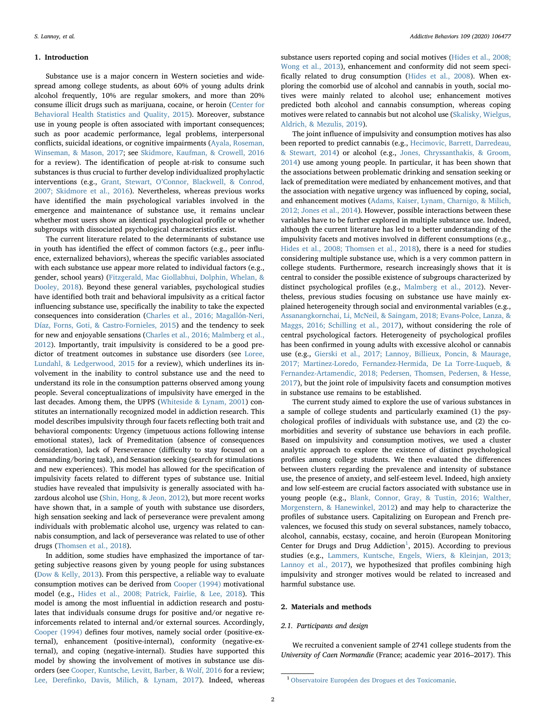#### 1. Introduction

Substance use is a major concern in Western societies and widespread among college students, as about 60% of young adults drink alcohol frequently, 10% are regular smokers, and more than 20% consume illicit drugs such as marijuana, cocaine, or heroin ([Center for](#page-7-0) [Behavioral Health Statistics and Quality, 2015](#page-7-0)). Moreover, substance use in young people is often associated with important consequences; such as poor academic performance, legal problems, interpersonal conflicts, suicidal ideations, or cognitive impairments [\(Ayala, Roseman,](#page-7-1) [Winseman, & Mason, 2017;](#page-7-1) see [Skidmore, Kaufman, & Crowell, 2016](#page-9-0) for a review). The identification of people at-risk to consume such substances is thus crucial to further develop individualized prophylactic interventions (e.g., Grant, Stewart, O'[Connor, Blackwell, & Conrod,](#page-8-0) [2007; Skidmore et al., 2016](#page-8-0)). Nevertheless, whereas previous works have identified the main psychological variables involved in the emergence and maintenance of substance use, it remains unclear whether most users show an identical psychological profile or whether subgroups with dissociated psychological characteristics exist.

The current literature related to the determinants of substance use in youth has identified the effect of common factors (e.g., peer influence, externalized behaviors), whereas the specific variables associated with each substance use appear more related to individual factors (e.g., gender, school years) ([Fitzgerald, Mac Giollabhui, Dolphin, Whelan, &](#page-8-1) [Dooley, 2018\)](#page-8-1). Beyond these general variables, psychological studies have identified both trait and behavioral impulsivity as a critical factor influencing substance use, specifically the inability to take the expected consequences into consideration [\(Charles et al., 2016; Magallón-Neri,](#page-8-2) [Díaz, Forns, Goti, & Castro-Fornieles, 2015](#page-8-2)) and the tendency to seek for new and enjoyable sensations ([Charles et al., 2016; Malmberg et al.,](#page-8-2) [2012\)](#page-8-2). Importantly, trait impulsivity is considered to be a good predictor of treatment outcomes in substance use disorders (see [Loree,](#page-8-3) [Lundahl, & Ledgerwood, 2015](#page-8-3) for a review), which underlines its involvement in the inability to control substance use and the need to understand its role in the consumption patterns observed among young people. Several conceptualizations of impulsivity have emerged in the last decades. Among them, the UPPS ([Whiteside & Lynam, 2001\)](#page-9-1) constitutes an internationally recognized model in addiction research. This model describes impulsivity through four facets reflecting both trait and behavioral components: Urgency (impetuous actions following intense emotional states), lack of Premeditation (absence of consequences consideration), lack of Perseverance (difficulty to stay focused on a demanding/boring task), and Sensation seeking (search for stimulations and new experiences). This model has allowed for the specification of impulsivity facets related to different types of substance use. Initial studies have revealed that impulsivity is generally associated with hazardous alcohol use ([Shin, Hong, & Jeon, 2012](#page-8-4)), but more recent works have shown that, in a sample of youth with substance use disorders, high sensation seeking and lack of perseverance were prevalent among individuals with problematic alcohol use, urgency was related to cannabis consumption, and lack of perseverance was related to use of other drugs (Thomsen [et al., 2018](#page-8-5)).

In addition, some studies have emphasized the importance of targeting subjective reasons given by young people for using substances ([Dow & Kelly, 2013\)](#page-8-6). From this perspective, a reliable way to evaluate consumption motives can be derived from [Cooper \(1994\)](#page-8-7) motivational model (e.g., [Hides et al., 2008; Patrick, Fairlie, & Lee, 2018\)](#page-8-8). This model is among the most influential in addiction research and postulates that individuals consume drugs for positive and/or negative reinforcements related to internal and/or external sources. Accordingly, [Cooper \(1994\)](#page-8-7) defines four motives, namely social order (positive-external), enhancement (positive-internal), conformity (negative-external), and coping (negative-internal). Studies have supported this model by showing the involvement of motives in substance use disorders (see [Cooper, Kuntsche, Levitt, Barber, & Wolf, 2016](#page-8-9) for a review; Lee, Derefi[nko, Davis, Milich, & Lynam, 2017](#page-8-10)). Indeed, whereas

substance users reported coping and social motives ([Hides et al., 2008;](#page-8-8) [Wong et al., 2013\)](#page-8-8), enhancement and conformity did not seem specifically related to drug consumption [\(Hides et al., 2008](#page-8-8)). When exploring the comorbid use of alcohol and cannabis in youth, social motives were mainly related to alcohol use; enhancement motives predicted both alcohol and cannabis consumption, whereas coping motives were related to cannabis but not alcohol use [\(Skalisky, Wielgus,](#page-8-11) [Aldrich, & Mezulis, 2019\)](#page-8-11).

The joint influence of impulsivity and consumption motives has also been reported to predict cannabis (e.g., [Hecimovic, Barrett, Darredeau,](#page-8-12) [& Stewart, 2014](#page-8-12)) or alcohol (e.g., [Jones, Chryssanthakis, & Groom,](#page-8-13) [2014\)](#page-8-13) use among young people. In particular, it has been shown that the associations between problematic drinking and sensation seeking or lack of premeditation were mediated by enhancement motives, and that the association with negative urgency was influenced by coping, social, and enhancement motives ([Adams, Kaiser, Lynam, Charnigo, & Milich,](#page-7-2) [2012; Jones et al., 2014](#page-7-2)). However, possible interactions between these variables have to be further explored in multiple substance use. Indeed, although the current literature has led to a better understanding of the impulsivity facets and motives involved in different consumptions (e.g., [Hides et al., 2008; Thomsen et al., 2018](#page-8-8)), there is a need for studies considering multiple substance use, which is a very common pattern in college students. Furthermore, research increasingly shows that it is central to consider the possible existence of subgroups characterized by distinct psychological profiles (e.g., [Malmberg et al., 2012\)](#page-8-14). Nevertheless, previous studies focusing on substance use have mainly explained heterogeneity through social and environmental variables (e.g., [Assanangkornchai, Li, McNeil, & Saingam, 2018; Evans-Polce, Lanza, &](#page-7-3) [Maggs, 2016; Schilling et al., 2017](#page-7-3)), without considering the role of central psychological factors. Heterogeneity of psychological profiles has been confirmed in young adults with excessive alcohol or cannabis use (e.g., [Gierski et al., 2017; Lannoy, Billieux, Poncin, & Maurage,](#page-8-15) [2017; Martinez-Loredo, Fernandez-Hermida, De La Torre-Luqueb, &](#page-8-15) [Fernandez-Artamendic, 2018; Pedersen, Thomsen, Pedersen, & Hesse,](#page-8-15) [2017\)](#page-8-15), but the joint role of impulsivity facets and consumption motives in substance use remains to be established.

The current study aimed to explore the use of various substances in a sample of college students and particularly examined (1) the psychological profiles of individuals with substance use, and (2) the comorbidities and severity of substance use behaviors in each profile. Based on impulsivity and consumption motives, we used a cluster analytic approach to explore the existence of distinct psychological profiles among college students. We then evaluated the differences between clusters regarding the prevalence and intensity of substance use, the presence of anxiety, and self-esteem level. Indeed, high anxiety and low self-esteem are crucial factors associated with substance use in young people (e.g., [Blank, Connor, Gray, & Tustin, 2016; Walther,](#page-7-4) [Morgenstern, & Hanewinkel, 2012\)](#page-7-4) and may help to characterize the profiles of substance users. Capitalizing on European and French prevalences, we focused this study on several substances, namely tobacco, alcohol, cannabis, ecstasy, cocaine, and heroin (European Monitoring Center for Drugs and Drug Addiction<sup>[1](#page-2-0)</sup>, 2015). According to previous studies (e.g., [Lammers, Kuntsche, Engels, Wiers, & Kleinjan, 2013;](#page-8-16) [Lannoy et al., 2017](#page-8-16)), we hypothesized that profiles combining high impulsivity and stronger motives would be related to increased and harmful substance use.

#### 2. Materials and methods

#### 2.1. Participants and design

We recruited a convenient sample of 2741 college students from the University of Caen Normandie (France; academic year 2016–2017). This

<span id="page-2-0"></span><sup>1</sup> [Observatoire Européen des Drogues et des Toxicomanie](#page-8-17).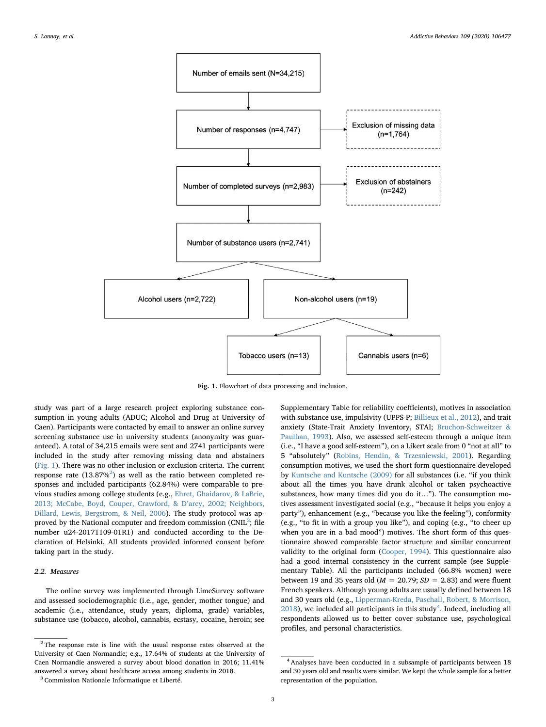<span id="page-3-0"></span>

Fig. 1. Flowchart of data processing and inclusion.

study was part of a large research project exploring substance consumption in young adults (ADUC; Alcohol and Drug at University of Caen). Participants were contacted by email to answer an online survey screening substance use in university students (anonymity was guaranteed). A total of 34,215 emails were sent and 2741 participants were included in the study after removing missing data and abstainers ([Fig. 1](#page-3-0)). There was no other inclusion or exclusion criteria. The current response rate  $(13.87\%)$  as well as the ratio between completed responses and included participants (62.84%) were comparable to previous studies among college students (e.g., [Ehret, Ghaidarov, & LaBrie,](#page-8-18) [2013; McCabe, Boyd, Couper, Crawford, & D](#page-8-18)'arcy, 2002; Neighbors, [Dillard, Lewis, Bergstrom, & Neil, 2006](#page-8-18)). The study protocol was approved by the National computer and freedom commission (CNIL $^3$  $^3$ ; file number u24-20171109-01R1) and conducted according to the Declaration of Helsinki. All students provided informed consent before taking part in the study.

## 2.2. Measures

The online survey was implemented through LimeSurvey software and assessed sociodemographic (i.e., age, gender, mother tongue) and academic (i.e., attendance, study years, diploma, grade) variables, substance use (tobacco, alcohol, cannabis, ecstasy, cocaine, heroin; see Supplementary Table for reliability coefficients), motives in association with substance use, impulsivity (UPPS-P; [Billieux et al., 2012](#page-7-5)), and trait anxiety (State-Trait Anxiety Inventory, STAI; [Bruchon-Schweitzer &](#page-7-6) [Paulhan, 1993\)](#page-7-6). Also, we assessed self-esteem through a unique item (i.e., "I have a good self-esteem"), on a Likert scale from 0 "not at all" to 5 "absolutely" ([Robins, Hendin, & Trzesniewski, 2001\)](#page-8-19). Regarding consumption motives, we used the short form questionnaire developed by [Kuntsche and Kuntsche \(2009\)](#page-8-20) for all substances (i.e. "if you think about all the times you have drunk alcohol or taken psychoactive substances, how many times did you do it…"). The consumption motives assessment investigated social (e.g., "because it helps you enjoy a party"), enhancement (e.g., "because you like the feeling"), conformity (e.g., "to fit in with a group you like"), and coping (e.g., "to cheer up when you are in a bad mood") motives. The short form of this questionnaire showed comparable factor structure and similar concurrent validity to the original form [\(Cooper, 1994](#page-8-7)). This questionnaire also had a good internal consistency in the current sample (see Supplementary Table). All the participants included (66.8% women) were between 19 and 35 years old ( $M = 20.79$ ;  $SD = 2.83$ ) and were fluent French speakers. Although young adults are usually defined between 18 and 30 years old (e.g., [Lipperman-Kreda, Paschall, Robert, & Morrison,](#page-8-21)  $2018$ ), we included all participants in this study<sup>[4](#page-3-3)</sup>. Indeed, including all respondents allowed us to better cover substance use, psychological profiles, and personal characteristics.

<span id="page-3-1"></span><sup>&</sup>lt;sup>2</sup> The response rate is line with the usual response rates observed at the University of Caen Normandie; e.g., 17.64% of students at the University of Caen Normandie answered a survey about blood donation in 2016; 11.41% answered a survey about healthcare access among students in 2018.

<span id="page-3-2"></span><sup>3</sup> Commission Nationale Informatique et Liberté.

<span id="page-3-3"></span><sup>4</sup> Analyses have been conducted in a subsample of participants between 18 and 30 years old and results were similar. We kept the whole sample for a better representation of the population.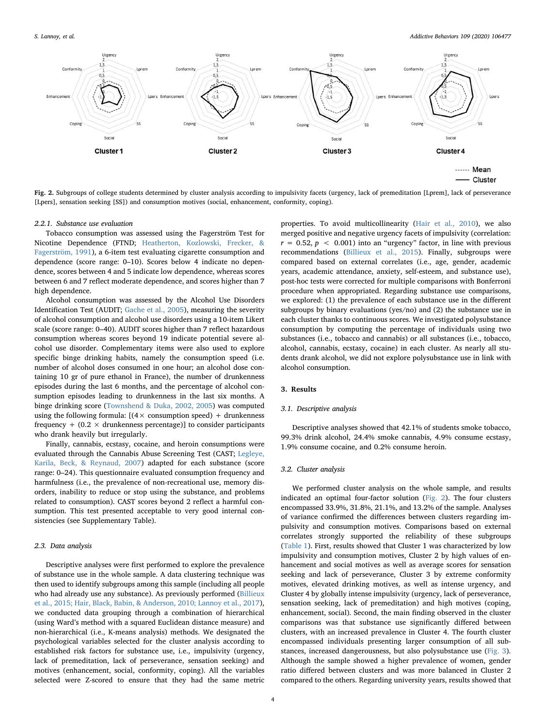<span id="page-4-0"></span>

Fig. 2. Subgroups of college students determined by cluster analysis according to impulsivity facets (urgency, lack of premeditation [Lprem], lack of perseverance [Lpers], sensation seeking [SS]) and consumption motives (social, enhancement, conformity, coping).

## 2.2.1. Substance use evaluation

Tobacco consumption was assessed using the Fagerström Test for Nicotine Dependence (FTND; [Heatherton, Kozlowski, Frecker, &](#page-8-22) [Fagerström, 1991](#page-8-22)), a 6-item test evaluating cigarette consumption and dependence (score range: 0–10). Scores below 4 indicate no dependence, scores between 4 and 5 indicate low dependence, whereas scores between 6 and 7 reflect moderate dependence, and scores higher than 7 high dependence.

Alcohol consumption was assessed by the Alcohol Use Disorders Identification Test (AUDIT; [Gache et al., 2005\)](#page-8-23), measuring the severity of alcohol consumption and alcohol use disorders using a 10-item Likert scale (score range: 0–40). AUDIT scores higher than 7 reflect hazardous consumption whereas scores beyond 19 indicate potential severe alcohol use disorder. Complementary items were also used to explore specific binge drinking habits, namely the consumption speed (i.e. number of alcohol doses consumed in one hour; an alcohol dose containing 10 gr of pure ethanol in France), the number of drunkenness episodes during the last 6 months, and the percentage of alcohol consumption episodes leading to drunkenness in the last six months. A binge drinking score [\(Townshend & Duka, 2002, 2005\)](#page-9-2) was computed using the following formula:  $[(4 \times \text{consumption speed}) + \text{drunkennes}]$ frequency  $+$  (0.2  $\times$  drunkenness percentage)] to consider participants who drank heavily but irregularly.

Finally, cannabis, ecstasy, cocaine, and heroin consumptions were evaluated through the Cannabis Abuse Screening Test (CAST; [Legleye,](#page-8-24) [Karila, Beck, & Reynaud, 2007\)](#page-8-24) adapted for each substance (score range: 0–24). This questionnaire evaluated consumption frequency and harmfulness (i.e., the prevalence of non-recreational use, memory disorders, inability to reduce or stop using the substance, and problems related to consumption). CAST scores beyond 2 reflect a harmful consumption. This test presented acceptable to very good internal consistencies (see Supplementary Table).

## 2.3. Data analysis

Descriptive analyses were first performed to explore the prevalence of substance use in the whole sample. A data clustering technique was then used to identify subgroups among this sample (including all people who had already use any substance). As previously performed ([Billieux](#page-7-7) [et al., 2015; Hair, Black, Babin, & Anderson, 2010; Lannoy et al., 2017](#page-7-7)), we conducted data grouping through a combination of hierarchical (using Ward's method with a squared Euclidean distance measure) and non-hierarchical (i.e., K-means analysis) methods. We designated the psychological variables selected for the cluster analysis according to established risk factors for substance use, i.e., impulsivity (urgency, lack of premeditation, lack of perseverance, sensation seeking) and motives (enhancement, social, conformity, coping). All the variables selected were Z-scored to ensure that they had the same metric properties. To avoid multicollinearity ([Hair et al., 2010\)](#page-8-25), we also merged positive and negative urgency facets of impulsivity (correlation:  $r = 0.52$ ,  $p < 0.001$ ) into an "urgency" factor, in line with previous recommendations ([Billieux et al., 2015](#page-7-7)). Finally, subgroups were compared based on external correlates (i.e., age, gender, academic years, academic attendance, anxiety, self-esteem, and substance use), post-hoc tests were corrected for multiple comparisons with Bonferroni procedure when appropriated. Regarding substance use comparisons, we explored: (1) the prevalence of each substance use in the different subgroups by binary evaluations (yes/no) and (2) the substance use in each cluster thanks to continuous scores. We investigated polysubstance consumption by computing the percentage of individuals using two substances (i.e., tobacco and cannabis) or all substances (i.e., tobacco, alcohol, cannabis, ecstasy, cocaine) in each cluster. As nearly all students drank alcohol, we did not explore polysubstance use in link with alcohol consumption.

#### 3. Results

#### 3.1. Descriptive analysis

Descriptive analyses showed that 42.1% of students smoke tobacco, 99.3% drink alcohol, 24.4% smoke cannabis, 4.9% consume ecstasy, 1.9% consume cocaine, and 0.2% consume heroin.

#### 3.2. Cluster analysis

We performed cluster analysis on the whole sample, and results indicated an optimal four-factor solution [\(Fig. 2\)](#page-4-0). The four clusters encompassed 33.9%, 31.8%, 21.1%, and 13.2% of the sample. Analyses of variance confirmed the differences between clusters regarding impulsivity and consumption motives. Comparisons based on external correlates strongly supported the reliability of these subgroups ([Table 1\)](#page-5-0). First, results showed that Cluster 1 was characterized by low impulsivity and consumption motives, Cluster 2 by high values of enhancement and social motives as well as average scores for sensation seeking and lack of perseverance, Cluster 3 by extreme conformity motives, elevated drinking motives, as well as intense urgency, and Cluster 4 by globally intense impulsivity (urgency, lack of perseverance, sensation seeking, lack of premeditation) and high motives (coping, enhancement, social). Second, the main finding observed in the cluster comparisons was that substance use significantly differed between clusters, with an increased prevalence in Cluster 4. The fourth cluster encompassed individuals presenting larger consumption of all substances, increased dangerousness, but also polysubstance use ([Fig. 3](#page-6-0)). Although the sample showed a higher prevalence of women, gender ratio differed between clusters and was more balanced in Cluster 2 compared to the others. Regarding university years, results showed that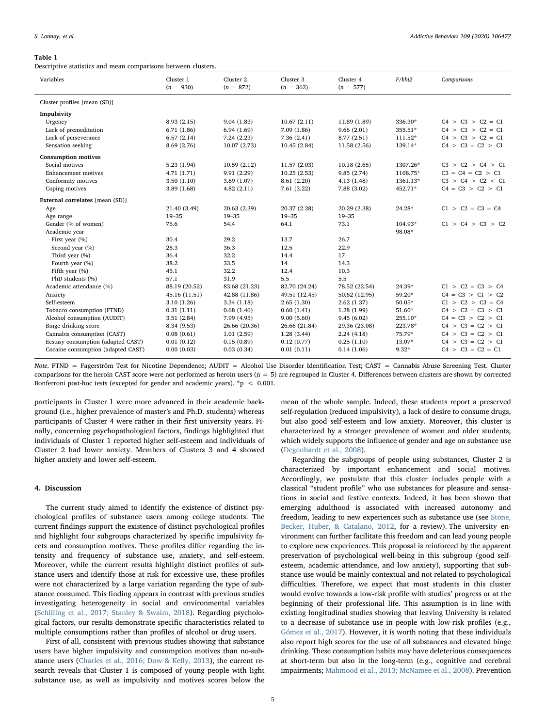#### <span id="page-5-0"></span>Table 1

Descriptive statistics and mean comparisons between clusters.

| Variables                          | Cluster 1<br>$(n = 930)$ | Cluster <sub>2</sub><br>$(n = 872)$ | Cluster 3<br>$(n = 362)$ | Cluster 4<br>$(n = 577)$ | F/khi2    | Comparisons         |
|------------------------------------|--------------------------|-------------------------------------|--------------------------|--------------------------|-----------|---------------------|
| Cluster profiles [mean (SD)]       |                          |                                     |                          |                          |           |                     |
| Impulsivity                        |                          |                                     |                          |                          |           |                     |
| Urgency                            | 8.93(2.15)               | 9.04(1.83)                          | 10.67(2.11)              | 11.89 (1.89)             | 336.30*   | $C4 > C3 > C2 = C1$ |
| Lack of premeditation              | 6.71(1.86)               | 6.94(1.69)                          | 7.09(1.86)               | 9.66(2.01)               | 355.51*   | $C4 > C3 > C2 = C1$ |
| Lack of perseverance               | 6.57(2.14)               | 7.24(2.23)                          | 7.36(2.41)               | 8.77(2.51)               | $111.52*$ | $C4 > C3 > C2 = C1$ |
| Sensation seeking                  | 8.69 (2.76)              | 10.07 (2.73)                        | 10.45(2.84)              | 11.58 (2.56)             | 139.14*   | $C4 > C3 = C2 > C1$ |
|                                    |                          |                                     |                          |                          |           |                     |
| <b>Consumption motives</b>         |                          |                                     |                          |                          |           |                     |
| Social motives                     | 5.23(1.94)               | 10.59(2.12)                         | 11.57(2.03)              | 10.18(2.65)              | 1307.26*  | C3 > C2 > C4 > C1   |
| <b>Enhancement</b> motives         | 4.71(1.71)               | 9.91(2.29)                          | 10.25(2.53)              | 9.85(2.74)               | 1108.75*  | $C3 = C4 = C2 > C1$ |
| Conformity motives                 | 3.50(1.10)               | 3.69(1.07)                          | 8.61 (2.20)              | 4.13(1.48)               | 1361.13*  | C3 > C4 > C2 < C1   |
| Coping motives                     | 3.89(1.68)               | 4.82(2.11)                          | 7.61 (3.22)              | 7.88 (3.02)              | 452.71*   | $C4 = C3 > C2 > C1$ |
| External correlates [mean (SD)]    |                          |                                     |                          |                          |           |                     |
| Age                                | 21.40 (3.49)             | 20.63 (2.39)                        | 20.37 (2.28)             | 20.29 (2.38)             | 24.28*    | $C1 > C2 = C3 = C4$ |
| Age range                          | $19 - 35$                | $19 - 35$                           | 19-35                    | $19 - 35$                |           |                     |
| Gender (% of women)                | 75.6                     | 54.4                                | 64.1                     | 73.1                     | 104.93*   | C1 > C4 > C3 > C2   |
| Academic year                      |                          |                                     |                          |                          | 98.08*    |                     |
| First year (%)                     | 30.4                     | 29.2                                | 13.7                     | 26.7                     |           |                     |
| Second year (%)                    | 28.3                     | 36.3                                | 12.5                     | 22.9                     |           |                     |
| Third year (%)                     | 36.4                     | 32.2                                | 14.4                     | 17                       |           |                     |
| Fourth year (%)                    | 38.2                     | 33.5                                | 14                       | 14.3                     |           |                     |
| Fifth year (%)                     | 45.1                     | 32.2                                | 12.4                     | 10.3                     |           |                     |
| PhD students (%)                   | 57.1                     | 31.9                                | 5.5                      | 5.5                      |           |                     |
| Academic attendance (%)            | 88.19 (20.52)            | 83.68 (21.23)                       | 82.70 (24.24)            | 78.52 (22.54)            | 24.39*    | $C1 > C2 = C3 > C4$ |
| Anxiety                            | 45.16 (11.51)            | 42.88 (11.86)                       | 49.51 (12.45)            | 50.62 (12.95)            | 59.20*    | $C4 = C3 > C1 > C2$ |
| Self-esteem                        | 3.10(1.26)               | 3.34(1.18)                          | 2.65(1.30)               | 2.62(1.37)               | 50.05*    | $C1 > C2 > C3 = C4$ |
| Tobacco consumption (FTND)         | 0.31(1.11)               | 0.68(1.46)                          | 0.60(1.41)               | 1.28(1.99)               | 51.60*    | $C4 > C2 = C3 > C1$ |
| Alcohol consumption (AUDIT)        | 3.51(2.84)               | 7.99 (4.95)                         | 9.00(5.60)               | 9.45(6.02)               | 255.10*   | $C4 = C3 > C2 > C1$ |
| Binge drinking score               | 8.34 (9.53)              | 26.66 (20.36)                       | 26.66 (21.84)            | 29.36 (23.08)            | 223.78*   | $C4 > C3 = C2 > C1$ |
| Cannabis consumption (CAST)        | 0.08(0.61)               | 1.01(2.59)                          | 1.28(3.44)               | 2.24(4.18)               | 75.79*    | $C4 > C3 = C2 > C1$ |
| Ecstasy consumption (adapted CAST) | 0.01(0.12)               | 0.15(0.89)                          | 0.12(0.77)               | 0.25(1.10)               | 13.07*    | $C4 > C3 = C2 > C1$ |
| Cocaine consumption (adapted CAST) | 0.00(0.03)               | 0.03(0.34)                          | 0.01(0.11)               | 0.14(1.06)               | $9.32*$   | $C4 > C3 = C2 = C1$ |

Note. FTND = Fagerström Test for Nicotine Dependence; AUDIT = Alcohol Use Disorder Identification Test; CAST = Cannabis Abuse Screening Test. Cluster comparisons for the heroin CAST score were not performed as heroin users (n = 5) are regrouped in Cluster 4. Differences between clusters are shown by corrected Bonferroni post-hoc tests (excepted for gender and academic years). \*p  $\leq 0.001$ .

participants in Cluster 1 were more advanced in their academic background (i.e., higher prevalence of master's and Ph.D. students) whereas participants of Cluster 4 were rather in their first university years. Finally, concerning psychopathological factors, findings highlighted that individuals of Cluster 1 reported higher self-esteem and individuals of Cluster 2 had lower anxiety. Members of Clusters 3 and 4 showed higher anxiety and lower self-esteem.

## 4. Discussion

The current study aimed to identify the existence of distinct psychological profiles of substance users among college students. The current findings support the existence of distinct psychological profiles and highlight four subgroups characterized by specific impulsivity facets and consumption motives. These profiles differ regarding the intensity and frequency of substance use, anxiety, and self-esteem. Moreover, while the current results highlight distinct profiles of substance users and identify those at risk for excessive use, these profiles were not characterized by a large variation regarding the type of substance consumed. This finding appears in contrast with previous studies investigating heterogeneity in social and environmental variables ([Schilling et al., 2017; Stanley & Swaim, 2018](#page-8-26)). Regarding psychological factors, our results demonstrate specific characteristics related to multiple consumptions rather than profiles of alcohol or drug users.

First of all, consistent with previous studies showing that substance users have higher impulsivity and consumption motives than no-substance users [\(Charles et al., 2016; Dow & Kelly, 2013\)](#page-8-2), the current research reveals that Cluster 1 is composed of young people with light substance use, as well as impulsivity and motives scores below the

mean of the whole sample. Indeed, these students report a preserved self-regulation (reduced impulsivity), a lack of desire to consume drugs, but also good self-esteem and low anxiety. Moreover, this cluster is characterized by a stronger prevalence of women and older students, which widely supports the influence of gender and age on substance use ([Degenhardt et al., 2008](#page-8-27)).

Regarding the subgroups of people using substances, Cluster 2 is characterized by important enhancement and social motives. Accordingly, we postulate that this cluster includes people with a classical "student profile" who use substances for pleasure and sensations in social and festive contexts. Indeed, it has been shown that emerging adulthood is associated with increased autonomy and freedom, leading to new experiences such as substance use (see [Stone,](#page-9-3) [Becker, Huber, & Catalano, 2012](#page-9-3), for a review). The university environment can further facilitate this freedom and can lead young people to explore new experiences. This proposal is reinforced by the apparent preservation of psychological well-being in this subgroup (good selfesteem, academic attendance, and low anxiety), supporting that substance use would be mainly contextual and not related to psychological difficulties. Therefore, we expect that most students in this cluster would evolve towards a low-risk profile with studies' progress or at the beginning of their professional life. This assumption is in line with existing longitudinal studies showing that leaving University is related to a decrease of substance use in people with low-risk profiles (e.g., Gómez [et al., 2017](#page-8-28)). However, it is worth noting that these individuals also report high scores for the use of all substances and elevated binge drinking. These consumption habits may have deleterious consequences at short-term but also in the long-term (e.g., cognitive and cerebral impairments; [Mahmood et al., 2013; McNamee et al., 2008](#page-8-29)). Prevention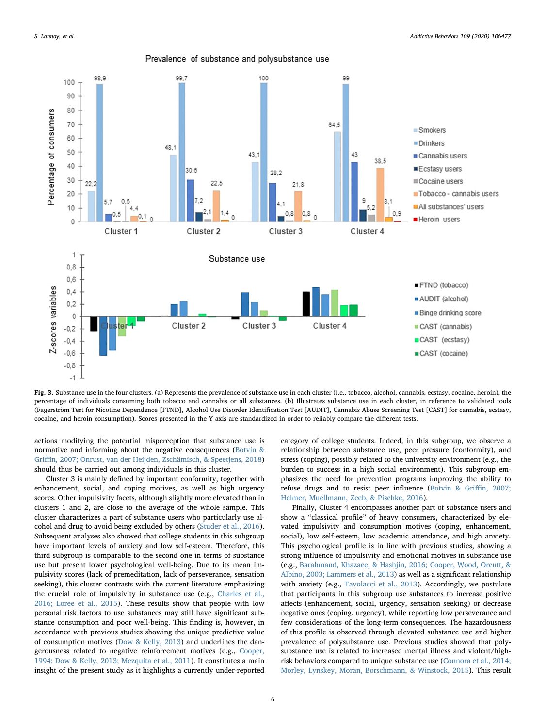<span id="page-6-0"></span>

Prevalence of substance and polysubstance use

Fig. 3. Substance use in the four clusters. (a) Represents the prevalence of substance use in each cluster (i.e., tobacco, alcohol, cannabis, ecstasy, cocaine, heroin), the percentage of individuals consuming both tobacco and cannabis or all substances. (b) Illustrates substance use in each cluster, in reference to validated tools (Fagerström Test for Nicotine Dependence [FTND], Alcohol Use Disorder Identification Test [AUDIT], Cannabis Abuse Screening Test [CAST] for cannabis, ecstasy, cocaine, and heroin consumption). Scores presented in the Y axis are standardized in order to reliably compare the different tests.

actions modifying the potential misperception that substance use is normative and informing about the negative consequences ([Botvin &](#page-7-8) Griffi[n, 2007; Onrust, van der Heijden, Zschämisch, & Speetjens, 2018\)](#page-7-8) should thus be carried out among individuals in this cluster.

Cluster 3 is mainly defined by important conformity, together with enhancement, social, and coping motives, as well as high urgency scores. Other impulsivity facets, although slightly more elevated than in clusters 1 and 2, are close to the average of the whole sample. This cluster characterizes a part of substance users who particularly use alcohol and drug to avoid being excluded by others [\(Studer et al., 2016](#page-9-4)). Subsequent analyses also showed that college students in this subgroup have important levels of anxiety and low self-esteem. Therefore, this third subgroup is comparable to the second one in terms of substance use but present lower psychological well-being. Due to its mean impulsivity scores (lack of premeditation, lack of perseverance, sensation seeking), this cluster contrasts with the current literature emphasizing the crucial role of impulsivity in substance use (e.g., [Charles et al.,](#page-8-2) [2016; Loree et al., 2015](#page-8-2)). These results show that people with low personal risk factors to use substances may still have significant substance consumption and poor well-being. This finding is, however, in accordance with previous studies showing the unique predictive value of consumption motives [\(Dow & Kelly, 2013](#page-8-6)) and underlines the dangerousness related to negative reinforcement motives (e.g., [Cooper,](#page-8-7) [1994; Dow & Kelly, 2013; Mezquita et al., 2011](#page-8-7)). It constitutes a main insight of the present study as it highlights a currently under-reported category of college students. Indeed, in this subgroup, we observe a relationship between substance use, peer pressure (conformity), and stress (coping), possibly related to the university environment (e.g., the burden to success in a high social environment). This subgroup emphasizes the need for prevention programs improving the ability to refuse drugs and to resist peer influence [\(Botvin & Gri](#page-7-8)ffin, 2007; [Helmer, Muellmann, Zeeb, & Pischke, 2016\)](#page-7-8).

Finally, Cluster 4 encompasses another part of substance users and show a "classical profile" of heavy consumers, characterized by elevated impulsivity and consumption motives (coping, enhancement, social), low self-esteem, low academic attendance, and high anxiety. This psychological profile is in line with previous studies, showing a strong influence of impulsivity and emotional motives in substance use (e.g., [Barahmand, Khazaee, & Hashjin, 2016; Cooper, Wood, Orcutt, &](#page-7-9) [Albino, 2003; Lammers et al., 2013](#page-7-9)) as well as a significant relationship with anxiety (e.g., [Tavolacci et al., 2013](#page-9-5)). Accordingly, we postulate that participants in this subgroup use substances to increase positive affects (enhancement, social, urgency, sensation seeking) or decrease negative ones (coping, urgency), while reporting low perseverance and few considerations of the long-term consequences. The hazardousness of this profile is observed through elevated substance use and higher prevalence of polysubstance use. Previous studies showed that polysubstance use is related to increased mental illness and violent/highrisk behaviors compared to unique substance use ([Connora et al., 2014;](#page-8-30) [Morley, Lynskey, Moran, Borschmann, & Winstock, 2015\)](#page-8-30). This result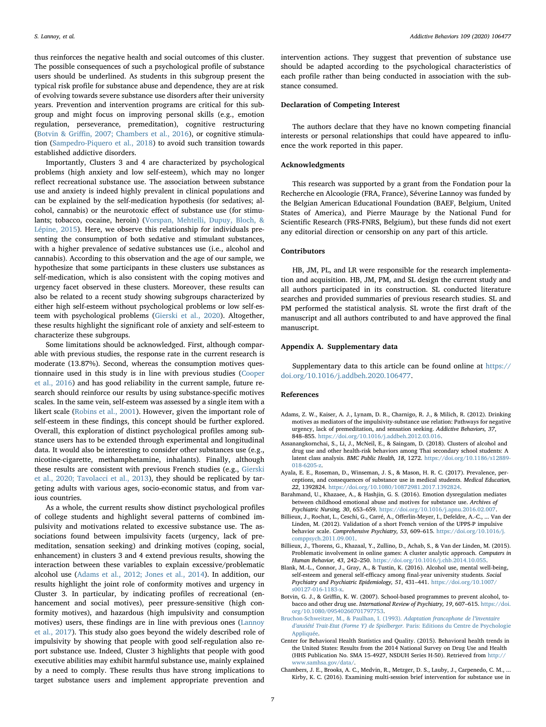thus reinforces the negative health and social outcomes of this cluster. The possible consequences of such a psychological profile of substance users should be underlined. As students in this subgroup present the typical risk profile for substance abuse and dependence, they are at risk of evolving towards severe substance use disorders after their university years. Prevention and intervention programs are critical for this subgroup and might focus on improving personal skills (e.g., emotion regulation, perseverance, premeditation), cognitive restructuring (Botvin & Griffi[n, 2007; Chambers et al., 2016](#page-7-8)), or cognitive stimulation [\(Sampedro-Piquero et al., 2018\)](#page-8-31) to avoid such transition towards established addictive disorders.

Importantly, Clusters 3 and 4 are characterized by psychological problems (high anxiety and low self-esteem), which may no longer reflect recreational substance use. The association between substance use and anxiety is indeed highly prevalent in clinical populations and can be explained by the self-medication hypothesis (for sedatives; alcohol, cannabis) or the neurotoxic effect of substance use (for stimulants; tobacco, cocaine, heroin) [\(Vorspan, Mehtelli, Dupuy, Bloch, &](#page-9-6) [Lépine, 2015](#page-9-6)). Here, we observe this relationship for individuals presenting the consumption of both sedative and stimulant substances, with a higher prevalence of sedative substances use (i.e., alcohol and cannabis). According to this observation and the age of our sample, we hypothesize that some participants in these clusters use substances as self-medication, which is also consistent with the coping motives and urgency facet observed in these clusters. Moreover, these results can also be related to a recent study showing subgroups characterized by either high self-esteem without psychological problems or low self-esteem with psychological problems [\(Gierski et al., 2020](#page-8-32)). Altogether, these results highlight the significant role of anxiety and self-esteem to characterize these subgroups.

Some limitations should be acknowledged. First, although comparable with previous studies, the response rate in the current research is moderate (13.87%). Second, whereas the consumption motives questionnaire used in this study is in line with previous studies ([Cooper](#page-8-9) [et al., 2016\)](#page-8-9) and has good reliability in the current sample, future research should reinforce our results by using substance-specific motives scales. In the same vein, self-esteem was assessed by a single item with a likert scale ([Robins et al., 2001](#page-8-19)). However, given the important role of self-esteem in these findings, this concept should be further explored. Overall, this exploration of distinct psychological profiles among substance users has to be extended through experimental and longitudinal data. It would also be interesting to consider other substances use (e.g., nicotine-cigarette, methamphetamine, inhalants). Finally, although these results are consistent with previous French studies (e.g., [Gierski](#page-8-32) [et al., 2020; Tavolacci et al., 2013](#page-8-32)), they should be replicated by targeting adults with various ages, socio-economic status, and from various countries.

As a whole, the current results show distinct psychological profiles of college students and highlight several patterns of combined impulsivity and motivations related to excessive substance use. The associations found between impulsivity facets (urgency, lack of premeditation, sensation seeking) and drinking motives (coping, social, enhancement) in clusters 3 and 4 extend previous results, showing the interaction between these variables to explain excessive/problematic alcohol use [\(Adams et al., 2012; Jones et al., 2014](#page-7-2)). In addition, our results highlight the joint role of conformity motives and urgency in Cluster 3. In particular, by indicating profiles of recreational (enhancement and social motives), peer pressure-sensitive (high conformity motives), and hazardous (high impulsivity and consumption motives) users, these findings are in line with previous ones ([Lannoy](#page-8-33) [et al., 2017](#page-8-33)). This study also goes beyond the widely described role of impulsivity by showing that people with good self-regulation also report substance use. Indeed, Cluster 3 highlights that people with good executive abilities may exhibit harmful substance use, mainly explained by a need to comply. These results thus have strong implications to target substance users and implement appropriate prevention and intervention actions. They suggest that prevention of substance use should be adapted according to the psychological characteristics of each profile rather than being conducted in association with the substance consumed.

#### Declaration of Competing Interest

The authors declare that they have no known competing financial interests or personal relationships that could have appeared to influence the work reported in this paper.

### Acknowledgments

This research was supported by a grant from the Fondation pour la Recherche en Alcoologie (FRA, France), Séverine Lannoy was funded by the Belgian American Educational Foundation (BAEF, Belgium, United States of America), and Pierre Maurage by the National Fund for Scientific Research (FRS-FNRS, Belgium), but these funds did not exert any editorial direction or censorship on any part of this article.

## Contributors

HB, JM, PL, and LR were responsible for the research implementation and acquisition. HB, JM, PM, and SL design the current study and all authors participated in its construction. SL conducted literature searches and provided summaries of previous research studies. SL and PM performed the statistical analysis. SL wrote the first draft of the manuscript and all authors contributed to and have approved the final manuscript.

### Appendix A. Supplementary data

Supplementary data to this article can be found online at [https://](https://doi.org/10.1016/j.addbeh.2020.106477) [doi.org/10.1016/j.addbeh.2020.106477](https://doi.org/10.1016/j.addbeh.2020.106477).

#### References

- <span id="page-7-2"></span>Adams, Z. W., Kaiser, A. J., Lynam, D. R., Charnigo, R. J., & Milich, R. (2012). Drinking motives as mediators of the impulsivity-substance use relation: Pathways for negative urgency, lack of premeditation, and sensation seeking. Addictive Behaviors, 37, 848–855. <https://doi.org/10.1016/j.addbeh.2012.03.016>.
- <span id="page-7-3"></span>Assanangkornchai, S., Li, J., McNeil, E., & Saingam, D. (2018). Clusters of alcohol and drug use and other health-risk behaviors among Thai secondary school students: A latent class analysis. BMC Public Health, 18, 1272. [https://doi.org/10.1186/s12889-](https://doi.org/10.1186/s12889-018-6205-z) [018-6205-z.](https://doi.org/10.1186/s12889-018-6205-z)
- <span id="page-7-1"></span>Ayala, E. E., Roseman, D., Winseman, J. S., & Mason, H. R. C. (2017). Prevalence, perceptions, and consequences of substance use in medical students. Medical Education, 22, 1392824. <https://doi.org/10.1080/10872981.2017.1392824>.
- <span id="page-7-9"></span>Barahmand, U., Khazaee, A., & Hashjin, G. S. (2016). Emotion dysregulation mediates between childhood emotional abuse and motives for substance use. Archives of Psychiatric Nursing, 30, 653–659. [https://doi.org/10.1016/j.apnu.2016.02.007.](https://doi.org/10.1016/j.apnu.2016.02.007)
- <span id="page-7-5"></span>Billieux, J., Rochat, L., Ceschi, G., Carré, A., Offerlin-Meyer, I., Defeldre, A.-C., ... Van der Linden, M. (2012). Validation of a short French version of the UPPS-P impulsive behavior scale. Comprehensive Psychiatry, 53, 609–615. [https://doi.org/10.1016/j.](https://doi.org/10.1016/j.comppsych.2011.09.001) [comppsych.2011.09.001.](https://doi.org/10.1016/j.comppsych.2011.09.001)
- <span id="page-7-7"></span>Billieux, J., Thorens, G., Khazaal, Y., Zullino, D., Achab, S., & Van der Linden, M. (2015). Problematic involvement in online games: A cluster analytic approach. Computers in Human Behavior, 43, 242–250. [https://doi.org/10.1016/j.chb.2014.10.055.](https://doi.org/10.1016/j.chb.2014.10.055)
- <span id="page-7-4"></span>Blank, M.-L., Connor, J., Gray, A., & Tustin, K. (2016). Alcohol use, mental well-being, self-esteem and general self-efficacy among final-year university students. Social Psychiatry and Psychiatric Epidemiology, 51, 431–441. [https://doi.org/10.1007/](https://doi.org/10.1007/s00127-016-1183-x) [s00127-016-1183-x.](https://doi.org/10.1007/s00127-016-1183-x)
- <span id="page-7-8"></span>Botvin, G. J., & Griffin, K. W. (2007). School-based programmes to prevent alcohol, tobacco and other drug use. International Review of Psychiatry, 19, 607–615. [https://doi.](https://doi.org/10.1080/09540260701797753) [org/10.1080/09540260701797753](https://doi.org/10.1080/09540260701797753).
- <span id="page-7-6"></span>[Bruchon-Schweitzer, M., & Paulhan, I. \(1993\).](http://refhub.elsevier.com/S0306-4603(20)30607-9/h0045) Adaptation francophone de l'inventaire d'[anxiété Trait-Etat \(Forme Y\) de Spielberger.](http://refhub.elsevier.com/S0306-4603(20)30607-9/h0045) Paris: Editions du Centre de Psychologie [Appliquée](http://refhub.elsevier.com/S0306-4603(20)30607-9/h0045).
- <span id="page-7-0"></span>Center for Behavioral Health Statistics and Quality. (2015). Behavioral health trends in the United States: Results from the 2014 National Survey on Drug Use and Health (HHS Publication No. SMA 15-4927, NSDUH Series H-50). Retrieved from [http://](http://www.samhsa.gov/data/) [www.samhsa.gov/data/](http://www.samhsa.gov/data/).
- Chambers, J. E., Brooks, A. C., Medvin, R., Metzger, D. S., Lauby, J., Carpenedo, C. M., ... Kirby, K. C. (2016). Examining multi-session brief intervention for substance use in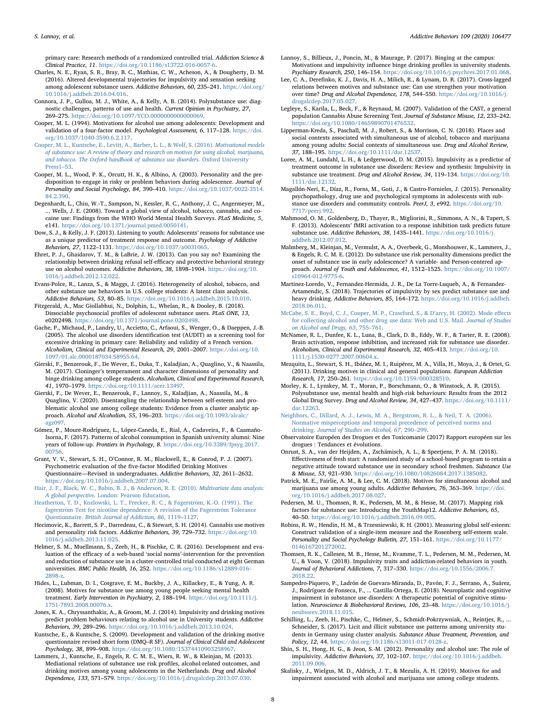primary care: Research methods of a randomized controlled trial. Addiction Science & Clinical Practice, 11. <https://doi.org/10.1186/s13722-016-0057-6>.

- <span id="page-8-2"></span>Charles, N. E., Ryan, S. R., Bray, B. C., Mathias, C. W., Acheson, A., & Dougherty, D. M. (2016). Altered developmental trajectories for impulsivity and sensation seeking among adolescent substance users. Addictive Behaviors, 60, 235–241. [https://doi.org/](https://doi.org/10.1016/j.addbeh.2016.04.016) [10.1016/j.addbeh.2016.04.016](https://doi.org/10.1016/j.addbeh.2016.04.016).
- <span id="page-8-30"></span>Connora, J. P., Gulloa, M. J., White, A., & Kelly, A. B. (2014). Polysubstance use: diagnostic challenges, patterns of use and health. Current Opinion in Psychiatry, 27, 269–275. [https://doi.org/10.1097/YCO.0000000000000069.](https://doi.org/10.1097/YCO.0000000000000069)
- <span id="page-8-7"></span>Cooper, M. L. (1994). Motivations for alcohol use among adolescents: Development and validation of a four-factor model. Psychological Assessment, 6, 117-128. [https://doi.](https://doi.org/10.1037/1040-3590.6.2.117) [org/10.1037/1040-3590.6.2.117.](https://doi.org/10.1037/1040-3590.6.2.117)
- <span id="page-8-9"></span>[Cooper, M. L., Kuntsche, E., Levitt, A., Barber, L. L., & Wolf, S. \(2016\).](http://refhub.elsevier.com/S0306-4603(20)30607-9/h0075) Motivational models [of substance use: A review of theory and research on motives for using alcohol, marijuana,](http://refhub.elsevier.com/S0306-4603(20)30607-9/h0075) [and tobacco. The Oxford handbook of substance use disorders.](http://refhub.elsevier.com/S0306-4603(20)30607-9/h0075) Oxford University [Press1](http://refhub.elsevier.com/S0306-4603(20)30607-9/h0075)–53.
- Cooper, M. L., Wood, P. K., Orcutt, H. K., & Albino, A. (2003). Personality and the predisposition to engage in risky or problem behaviors during adolescence. Journal of Personality and Social Psychology, 84, 390–410. [https://doi.org/10.1037/0022-3514.](https://doi.org/10.1037/0022-3514.84.2.390) [84.2.390.](https://doi.org/10.1037/0022-3514.84.2.390)
- <span id="page-8-27"></span>Degenhardt, L., Chiu, W.-T., Sampson, N., Kessler, R. C., Anthony, J. C., Angermeyer, M., ... Wells, J. E. (2008). Toward a global view of alcohol, tobacco, cannabis, and cocaine use: Findings from the WHO World Mental Health Surveys. PLoS Medicine, 5, e141. [https://doi.org/10.1371/journal.pmed.0050141.](https://doi.org/10.1371/journal.pmed.0050141)
- <span id="page-8-6"></span>Dow, S. J., & Kelly, J. F. (2013). Listening to youth: Adolescents' reasons for substance use as a unique predictor of treatment response and outcome. Psychology of Addictive Behaviors, 27, 1122–1131. <https://doi.org/10.1037/a0031065>.
- <span id="page-8-18"></span>Ehret, P. J., Ghaidarov, T. M., & LaBrie, J. W. (2013). Can you say no? Examining the relationship between drinking refusal self-efficacy and protective behavioral strategy use on alcohol outcomes. Addictive Behaviors, 38, 1898–1904. [https://doi.org/10.](https://doi.org/10.1016/j.addbeh.2012.12.022) [1016/j.addbeh.2012.12.022](https://doi.org/10.1016/j.addbeh.2012.12.022).
- Evans-Polce, R., Lanza, S., & Maggs, J. (2016). Heterogeneity of alcohol, tobacco, and other substance use behaviors in U.S. college students: A latent class analysis. Addictive Behaviors, 53, 80–85. [https://doi.org/10.1016/j.addbeh.2015.10.010.](https://doi.org/10.1016/j.addbeh.2015.10.010)
- <span id="page-8-1"></span>Fitzgerald, A., Mac Giollabhui, N., Dolphin, L., Whelan, R., & Dooley, B. (2018). Dissociable psychosocial profiles of adolescent substance users. PLoS ONE, 13, e0202498. <https://doi.org/10.1371/journal.pone.0202498>.
- <span id="page-8-23"></span>Gache, P., Michaud, P., Landry, U., Accietto, C., Arfaoui, S., Wenger, O., & Daeppen, J.-B. (2005). The alcohol use disorders identification test (AUDIT) as a screening tool for excessive drinking in primary care: Reliability and validity of a French version. Alcoholism, Clinical and Experimental Research, 29, 2001–2007. [https://doi.org/10.](https://doi.org/10.1097/01.alc.0000187034.58955.64) [1097/01.alc.0000187034.58955.64](https://doi.org/10.1097/01.alc.0000187034.58955.64).
- <span id="page-8-15"></span>Gierski, F., Benzerouk, F., De Wever, E., Duka, T., Kaladjian, A., Quaglino, V., & Naassila, M. (2017). Cloninger's temperament and character dimensions of personality and binge drinking among college students. Alcoholism, Clinical and Experimental Research, 41, 1970–1979. [https://doi.org/10.1111/acer.13497.](https://doi.org/10.1111/acer.13497)
- <span id="page-8-32"></span>Gierski, F., De Wever, E., Benzerouk, F., Lannoy, S., Kaladjian, A., Naassila, M., & Quaglino, V. (2020). Disentangling the relationship between self-esteem and problematic alcohol use among college students: Evidence from a cluster analytic approach. Alcohol and Alcoholism, 55, 196–203. [https://doi.org/10.1093/alcalc/](https://doi.org/10.1093/alcalc/agz097) [agz097.](https://doi.org/10.1093/alcalc/agz097)
- <span id="page-8-28"></span>Gómez, P., Moure-Rodríguez, L., López-Caneda, E., Rial, A., Cadaveira, F., & Caamaño-Isorna, F. (2017). Patterns of alcohol consumption in Spanish university alumni: Nine years of follow-up. Frontiers in Psychology, 8. [https://doi.org/10.3389/fpsyg.2017.](https://doi.org/10.3389/fpsyg.2017.00756) [00756.](https://doi.org/10.3389/fpsyg.2017.00756)
- <span id="page-8-0"></span>Grant, V. V., Stewart, S. H., O'Connor, R. M., Blackwell, E., & Conrod, P. J. (2007). Psychometric evaluation of the five-factor Modified Drinking Motives Questionnaire—Revised in undergraduates. Addictive Behaviors, 32, 2611–2632. <https://doi.org/10.1016/j.addbeh.2007.07.004>.
- <span id="page-8-25"></span>[Hair, J. F., Black, W. C., Babin, B. J., & Anderson, R. E. \(2010\).](http://refhub.elsevier.com/S0306-4603(20)30607-9/h0130) Multivariate data analysis: A global perspective. [London: Pearson Education](http://refhub.elsevier.com/S0306-4603(20)30607-9/h0130).
- <span id="page-8-22"></span>[Heatherton, T. D., Kozlowski, L. T., Frecker, R. C., & Fagerström, K.-O. \(1991\). The](http://refhub.elsevier.com/S0306-4603(20)30607-9/h0135) [fagerström Test for nicotine dependence: A revision of the Fagerström Tolerance](http://refhub.elsevier.com/S0306-4603(20)30607-9/h0135) Questionnaire. [British Journal of Addiction, 86](http://refhub.elsevier.com/S0306-4603(20)30607-9/h0135), 1119–1127.
- <span id="page-8-12"></span>Hecimovic, K., Barrett, S. P., Darredeau, C., & Stewart, S. H. (2014). Cannabis use motives and personality risk factors. Addictive Behaviors, 39, 729–732. [https://doi.org/10.](https://doi.org/10.1016/j.addbeh.2013.11.025) [1016/j.addbeh.2013.11.025](https://doi.org/10.1016/j.addbeh.2013.11.025).
- Helmer, S. M., Muellmann, S., Zeeb, H., & Pischke, C. R. (2016). Development and evaluation of the efficacy of a web-based 'social norms'-intervention for the prevention and reduction of substance use in a cluster-controlled trial conducted at eight German universities. BMC Public Health, 16, 252. [https://doi.org/10.1186/s12889-016-](https://doi.org/10.1186/s12889-016-2898-z) [2898-z.](https://doi.org/10.1186/s12889-016-2898-z)
- <span id="page-8-8"></span>Hides, L., Lubman, D. I., Cosgrave, E. M., Buckby, J. A., Killackey, E., & Yung, A. R. (2008). Motives for substance use among young people seeking mental health treatment. Early Intervention in Psychiatry, 2, 188–194. [https://doi.org/10.1111/j.](https://doi.org/10.1111/j.1751-7893.2008.00076.x) [1751-7893.2008.00076.x](https://doi.org/10.1111/j.1751-7893.2008.00076.x).
- <span id="page-8-13"></span>Jones, K. A., Chryssanthakis, A., & Groom, M. J. (2014). Impulsivity and drinking motives predict problem behaviours relating to alcohol use in University students. Addictive Behaviors, 39, 289–296. [https://doi.org/10.1016/j.addbeh.2013.10.024.](https://doi.org/10.1016/j.addbeh.2013.10.024)
- <span id="page-8-20"></span>Kuntsche, E., & Kuntsche, S. (2009). Development and validation of the drinking motive questionnaire revised short form (DMQ–R SF). Journal of Clinical Child and Adolescent Psychology, 38, 899–908. <https://doi.org/10.1080/15374410903258967>.
- <span id="page-8-16"></span>Lammers, J., Kuntsche, E., Engels, R. C. M. E., Wiers, R. W., & Kleinjan, M. (2013). Mediational relations of substance use risk profiles, alcohol-related outcomes, and drinking motives among young adolescents in the Netherlands. Drug and Alcohol Dependence, 133, 571–579. [https://doi.org/10.1016/j.drugalcdep.2013.07.030.](https://doi.org/10.1016/j.drugalcdep.2013.07.030)
- <span id="page-8-33"></span>Lannoy, S., Billieux, J., Poncin, M., & Maurage, P. (2017). Binging at the campus: Motivations and impulsivity influence binge drinking profiles in university students. Psychiatry Research, 250, 146–154. [https://doi.org/10.1016/j.psychres.2017.01.068.](https://doi.org/10.1016/j.psychres.2017.01.068)
- <span id="page-8-10"></span>Lee, C. A., Derefinko, K. J., Davis, H. A., Milich, R., & Lynam, D. R. (2017). Cross-lagged relations between motives and substance use: Can use strengthen your motivation over time? Drug and Alcohol Dependence, 178, 544–550. [https://doi.org/10.1016/j.](https://doi.org/10.1016/j.drugalcdep.2017.05.027) [drugalcdep.2017.05.027.](https://doi.org/10.1016/j.drugalcdep.2017.05.027)
- <span id="page-8-24"></span>Legleye, S., Karila, L., Beck, F., & Reynaud, M. (2007). Validation of the CAST, a general population Cannabis Abuse Screening Test. Journal of Substance Misuse, 12, 233–242. <https://doi.org/10.1080/14659890701476532>.
- <span id="page-8-21"></span>Lipperman-Kreda, S., Paschall, M. J., Robert, S., & Morrison, C. N. (2018). Places and social contexts associated with simultaneous use of alcohol, tobacco and marijuana among young adults: Social contexts of simultaneous use. Drug and Alcohol Review, 37, 188–195. <https://doi.org/10.1111/dar.12537>.
- <span id="page-8-3"></span>Loree, A. M., Lundahl, L. H., & Ledgerwood, D. M. (2015). Impulsivity as a predictor of treatment outcome in substance use disorders: Review and synthesis: Impulsivity in substance use treatment. Drug and Alcohol Review, 34, 119-134. [https://doi.org/10.](https://doi.org/10.1111/dar.12132) [1111/dar.12132](https://doi.org/10.1111/dar.12132).
- Magallón-Neri, E., Díaz, R., Forns, M., Goti, J., & Castro-Fornieles, J. (2015). Personality psychopathology, drug use and psychological symptoms in adolescents with substance use disorders and community controls. PeerJ, 3, e992. [https://doi.org/10.](https://doi.org/10.7717/peerj.992) [7717/peerj.992.](https://doi.org/10.7717/peerj.992)
- <span id="page-8-29"></span>Mahmood, O. M., Goldenberg, D., Thayer, R., Migliorini, R., Simmons, A. N., & Tapert, S. F. (2013). Adolescents' fMRI activation to a response inhibition task predicts future substance use. Addictive Behaviors, 38, 1435-1441. [https://doi.org/10.1016/j.](https://doi.org/10.1016/j.addbeh.2012.07.012) [addbeh.2012.07.012.](https://doi.org/10.1016/j.addbeh.2012.07.012)
- <span id="page-8-14"></span>Malmberg, M., Kleinjan, M., Vermulst, A. A., Overbeek, G., Monshouwer, K., Lammers, J., & Engels, R. C. M. E. (2012). Do substance use risk personality dimensions predict the onset of substance use in early adolescence? A variable- and Person-centered approach. Journal of Youth and Adolescence, 41, 1512–1525. [https://doi.org/10.1007/](https://doi.org/10.1007/s10964-012-9775-6) [s10964-012-9775-6.](https://doi.org/10.1007/s10964-012-9775-6)
- Martinez-Loredo, V., Fernandez-Hermida, J. R., De La Torre-Luqueb, A., & Fernandez-Artamendic, S. (2018). Trajectories of impulsivity by sex predict substance use and heavy drinking. Addictive Behaviors, 85, 164–172. [https://doi.org/10.1016/j.addbeh.](https://doi.org/10.1016/j.addbeh.2018.06.011) [2018.06.011](https://doi.org/10.1016/j.addbeh.2018.06.011).
- [McCabe, S. E., Boyd, C. J., Couper, M. P., Crawford, S., & D](http://refhub.elsevier.com/S0306-4603(20)30607-9/h0220)'arcy, H. (2002). Mode effects [for collecting alcohol and other drug use data: Web and U.S. Mail.](http://refhub.elsevier.com/S0306-4603(20)30607-9/h0220) Journal of Studies [on Alcohol and Drugs, 63](http://refhub.elsevier.com/S0306-4603(20)30607-9/h0220), 755–761.
- McNamee, R. L., Dunfee, K. L., Luna, B., Clark, D. B., Eddy, W. F., & Tarter, R. E. (2008). Brain activation, response inhibition, and increased risk for substance use disorder. Alcoholism, Clinical and Experimental Research, 32, 405–413. [https://doi.org/10.](https://doi.org/10.1111/j.1530-0277.2007.00604.x) [1111/j.1530-0277.2007.00604.x](https://doi.org/10.1111/j.1530-0277.2007.00604.x).
- Mezquita, L., Stewart, S. H., Ibáñez, M. I., Ruipérez, M. A., Villa, H., Moya, J., & Ortet, G. (2011). Drinking motives in clinical and general populations. European Addiction Research, 17, 250–261. [https://doi.org/10.1159/000328510.](https://doi.org/10.1159/000328510)
- Morley, K. I., Lynskey, M. T., Moran, P., Borschmann, O., & Winstock, A. R. (2015). Polysubstance use, mental health and high-risk behaviours: Results from the 2012 Global Drug Survey. Drug and Alcohol Review, 34, 427–437. [https://doi.org/10.1111/](https://doi.org/10.1111/dar.12263) [dar.12263.](https://doi.org/10.1111/dar.12263)
- [Neighbors, C., Dillard, A. J., Lewis, M. A., Bergstrom, R. L., & Neil, T. A. \(2006\).](http://refhub.elsevier.com/S0306-4603(20)30607-9/h0240) [Normative misperceptions and temporal precedence of perceived norms and](http://refhub.elsevier.com/S0306-4603(20)30607-9/h0240) drinking. [Journal of Studies on Alcohol, 67](http://refhub.elsevier.com/S0306-4603(20)30607-9/h0240), 290–299.
- <span id="page-8-17"></span>Observatoire Européen des Drogues et des Toxicomanie (2017) Rapport européen sur les drogues : Tendances et évolutions.
- Onrust, S. A., van der Heijden, A., Zschämisch, A. L., & Speetjens, P. A. M. (2018). Effectiveness of fresh start: A randomized study of a school-based program to retain a negative attitude toward substance use in secondary school freshmen. Substance Use & Misuse, 53, 921–930. <https://doi.org/10.1080/10826084.2017.1385082>.
- Patrick, M. E., Fairlie, A. M., & Lee, C. M. (2018). Motives for simultaneous alcohol and marijuana use among young adults. Addictive Behaviors, 76, 363–369. [https://doi.](https://doi.org/10.1016/j.addbeh.2017.08.027) [org/10.1016/j.addbeh.2017.08.027.](https://doi.org/10.1016/j.addbeh.2017.08.027)
- Pedersen, M. U., Thomsen, R. K., Pedersen, M. M., & Hesse, M. (2017). Mapping risk factors for substance use: Introducing the YouthMap12. Addictive Behaviors, 65, 40–50. [https://doi.org/10.1016/j.addbeh.2016.09.005.](https://doi.org/10.1016/j.addbeh.2016.09.005)
- <span id="page-8-19"></span>Robins, R. W., Hendin, H. M., & Trzesniewski, K. H. (2001). Measuring global self-esteem: Construct validation of a single-item measure and the Rosenberg self-esteem scale. Personality and Social Psychology Bulletin, 27, 151–161. [https://doi.org/10.1177/](https://doi.org/10.1177/0146167201272002) [0146167201272002.](https://doi.org/10.1177/0146167201272002)
- <span id="page-8-5"></span>Thomsen, R. K., Callesen, M. B., Hesse, M., Kvamme, T. L., Pedersen, M. M., Pedersen, M. U., & Voon, V. (2018). Impulsivity traits and addiction-related behaviors in youth. Journal of Behavioral Addictions, 7, 317–330. [https://doi.org/10.1556/2006.7.](https://doi.org/10.1556/2006.7.2018.22) [2018.22.](https://doi.org/10.1556/2006.7.2018.22)
- <span id="page-8-31"></span>Sampedro-Piquero, P., Ladrón de Guevara-Miranda, D., Pavón, F. J., Serrano, A., Suárez, J., Rodríguez de Fonseca, F., ... Castilla-Ortega, E. (2018). Neuroplastic and cognitive impairment in substance use disorders: A therapeutic potential of cognitive stimulation. Neuroscience & Biobehavioral Reviews, 106, 23–48. [https://doi.org/10.1016/j.](https://doi.org/10.1016/j.neubiorev.2018.11.015) [neubiorev.2018.11.015](https://doi.org/10.1016/j.neubiorev.2018.11.015).
- <span id="page-8-26"></span>Schilling, L., Zeeb, H., Pischke, C., Helmer, S., Schmidt-Pokrzywniak, A., Reintjes, R., ... Schneider, S. (2017). Licit and illicit substance use patterns among university students in Germany using cluster analysis. Substance Abuse Treatment, Prevention, and Policy, 12, 44. <https://doi.org/10.1186/s13011-017-0128-z>.
- <span id="page-8-4"></span>Shin, S. H., Hong, H. G., & Jeon, S.-M. (2012). Personality and alcohol use: The role of impulsivity. Addictive Behaviors, 37, 102–107. [https://doi.org/10.1016/j.addbeh.](https://doi.org/10.1016/j.addbeh.2011.09.006) [2011.09.006](https://doi.org/10.1016/j.addbeh.2011.09.006).
- <span id="page-8-11"></span>Skalisky, J., Wielgus, M. D., Aldrich, J. T., & Mezulis, A. H. (2019). Motives for and impairment associated with alcohol and marijuana use among college students.